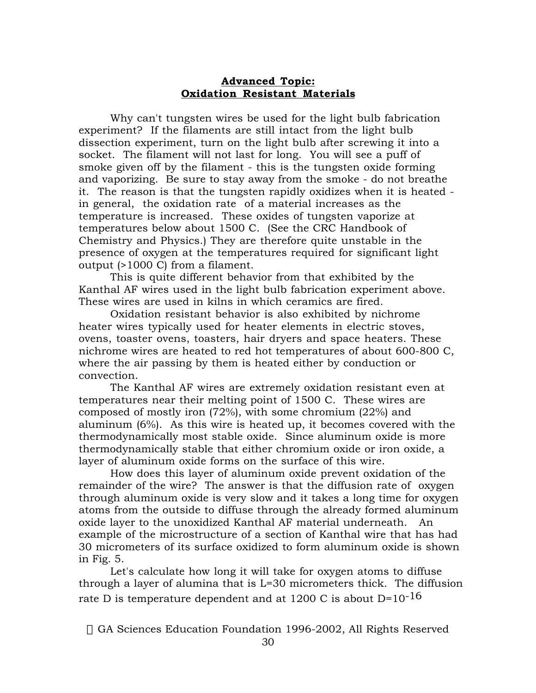## **Advanced Topic: Oxidation Resistant Materials**

Why can't tungsten wires be used for the light bulb fabrication experiment? If the filaments are still intact from the light bulb dissection experiment, turn on the light bulb after screwing it into a socket. The filament will not last for long. You will see a puff of smoke given off by the filament - this is the tungsten oxide forming and vaporizing. Be sure to stay away from the smoke - do not breathe it. The reason is that the tungsten rapidly oxidizes when it is heated in general, the oxidation rate of a material increases as the temperature is increased. These oxides of tungsten vaporize at temperatures below about 1500 C. (See the CRC Handbook of Chemistry and Physics.) They are therefore quite unstable in the presence of oxygen at the temperatures required for significant light output (>1000 C) from a filament.

This is quite different behavior from that exhibited by the Kanthal AF wires used in the light bulb fabrication experiment above. These wires are used in kilns in which ceramics are fired.

Oxidation resistant behavior is also exhibited by nichrome heater wires typically used for heater elements in electric stoves, ovens, toaster ovens, toasters, hair dryers and space heaters. These nichrome wires are heated to red hot temperatures of about 600-800 C, where the air passing by them is heated either by conduction or convection.

The Kanthal AF wires are extremely oxidation resistant even at temperatures near their melting point of 1500 C. These wires are composed of mostly iron (72%), with some chromium (22%) and aluminum (6%). As this wire is heated up, it becomes covered with the thermodynamically most stable oxide. Since aluminum oxide is more thermodynamically stable that either chromium oxide or iron oxide, a layer of aluminum oxide forms on the surface of this wire.

How does this layer of aluminum oxide prevent oxidation of the remainder of the wire? The answer is that the diffusion rate of oxygen through aluminum oxide is very slow and it takes a long time for oxygen atoms from the outside to diffuse through the already formed aluminum oxide layer to the unoxidized Kanthal AF material underneath. An example of the microstructure of a section of Kanthal wire that has had 30 micrometers of its surface oxidized to form aluminum oxide is shown in Fig. 5.

Let's calculate how long it will take for oxygen atoms to diffuse through a layer of alumina that is L=30 micrometers thick. The diffusion rate D is temperature dependent and at 1200 C is about  $D=10^{-16}$ 

© GA Sciences Education Foundation 1996-2002, All Rights Reserved